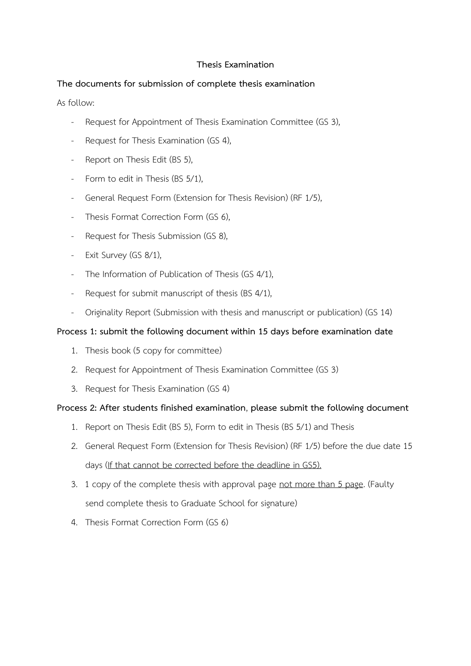## **Thesis Examination**

## **The documents for submission of complete thesis examination**

As follow:

- [Request for Appointment of Thesis Examination Committee](http://graduate.te.psu.ac.th/file/2015/English_form/GS/GS3.doc) (GS 3),
- [Request for Thesis Examination](http://graduate.te.psu.ac.th/file/2015/English_form/GS/GS4.doc) (GS 4),
- Report on Thesis Edit (BS 5),
- Form to edit in Thesis (BS 5/1),
- [General Request Form \(Extension for Thesis Revision\)](http://graduate.te.psu.ac.th/file/2015/English_form/RF/RF1-5.doc) (RF 1/5),
- [Thesis Format Correction Form](http://graduate.te.psu.ac.th/file/2015/English_form/GS/GS6.docx) (GS 6).
- [Request for Thesis Submission](http://graduate.te.psu.ac.th/file/2015/English_form/GS/GS8.doc) (GS 8),
- [Exit Survey](http://graduate.te.psu.ac.th/file/2015/English_form/GS/GS8-1.doc) (GS 8/1),
- [The Information of Publication of Thesis](http://graduate.te.psu.ac.th/file/2015/English_form/GS/GS4-1.doc) (GS 4/1),
- [Request for submit manuscript of thesis](http://graduate.te.psu.ac.th/file/2015/English_form/BS/BS4-1.docx) (BS 4/1),
- [Originality Report \(Submission with thesis and manuscript or publication\)](http://graduate.te.psu.ac.th/file/2015/English_form/GS/GS14.doc) (GS 14)

## **Process 1: submit the following document within 15 days before examination date**

- 1. Thesis book (5 copy for committee)
- 2. [Request for Appointment of Thesis Examination Committee](http://graduate.te.psu.ac.th/file/2015/English_form/GS/GS3.doc) (GS 3)
- 3. [Request for Thesis Examination](http://graduate.te.psu.ac.th/file/2015/English_form/GS/GS4.doc) (GS 4)

## **Process 2: After students finished examination**, **please submit the following document**

- 1. Report on Thesis Edit (BS 5), Form to edit in Thesis (BS 5/1) and Thesis
- 2. [General Request Form \(Extension for Thesis Revision\)](http://graduate.te.psu.ac.th/file/2015/English_form/RF/RF1-5.doc) (RF 1/5) before the due date 15 days (If that cannot be corrected before the deadline in GS5).
- 3. 1 copy of the complete thesis with approval page not more than 5 page. (Faulty send complete thesis to Graduate School for signature)
- 4. [Thesis Format Correction Form](http://graduate.te.psu.ac.th/file/2015/English_form/GS/GS6.docx) (GS 6)